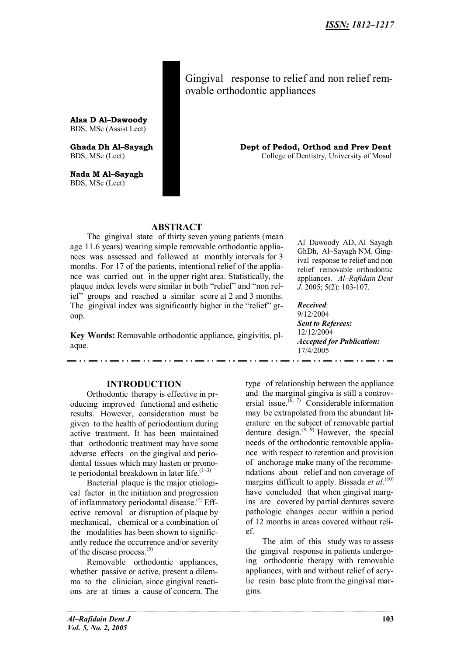Gingival response to relief and non relief removable orthodontic appliances

**Alaa D Al–Dawoody** BDS, MSc (Assist Lect)

**Nada M Al–Sayagh** BDS, MSc (Lect)

. . . <u>. .</u> . . .

**Ghada Dh Al–Sayagh Dept of Pedod, Orthod and Prev Dent** BDS, MSc (Lect) College of Dentistry, University of Mosul

# **ABSTRACT**

The gingival state of thirty seven young patients (mean age 11.6 years) wearing simple removable orthodontic appliances was assessed and followed at monthly intervals for 3 months. For 17 of the patients, intentional relief of the appliance was carried out in the upper right area. Statistically, the plaque index levels were similar in both "relief" and "non relief" groups and reached a similar score at 2 and 3 months. The gingival index was significantly higher in the "relief" group.

**Key Words:** Removable orthodontic appliance, gingivitis, plaque.

200 L

Al–Dawoody AD, Al–Sayagh GhDh, Al–Sayagh NM. Gingival response to relief and non relief removable orthodontic appliances. *Al–Rafidain Dent J*. 2005; 5(2): 103-107.

*Received*: 9/12/2004 *Sent to Referees:* 12/12/2004 *Accepted for Publication:* 17/4/2005

\_ . . \_\_ . . \_\_ . . . \_

### **INTRODUCTION**

\_ . . \_ . . \_ . . . \_ . . . .

Orthodontic therapy is effective in producing improved functional and esthetic results. However, consideration must be given to the health of periodontium during active treatment. It has been maintained that orthodontic treatment may have some adverse effects on the gingival and periodontal tissues which may hasten or promote periodontal breakdown in later life. $(1-3)$ 

Bacterial plaque is the major etiological factor in the initiation and progression of inflammatory periodontal disease.<sup>(4)</sup> Effective removal or disruption of plaque by mechanical, chemical or a combination of the modalities has been shown to significantly reduce the occurrence and/or severity of the disease process.(5)

Removable orthodontic appliances, whether passive or active, present a dilemma to the clinician, since gingival reactions are at times a cause of concern. The

type of relationship between the appliance and the marginal gingiva is still a controversial issue.<sup> $(6, 7)$ </sup> Considerable information may be extrapolated from the abundant literature on the subject of removable partial denture design. $(8, 9)$  However, the special needs of the orthodontic removable appliance with respect to retention and provision of anchorage make many of the recommendations about relief and non coverage of margins difficult to apply. Bissada *et al*. (10) have concluded that when gingival margins are covered by partial dentures severe pathologic changes occur within a period of 12 months in areas covered without relief.

<u>and</u> and a

The aim of this study was to assess the gingival response in patients undergoing orthodontic therapy with removable appliances, with and without relief of acrylic resin base plate from the gingival margins.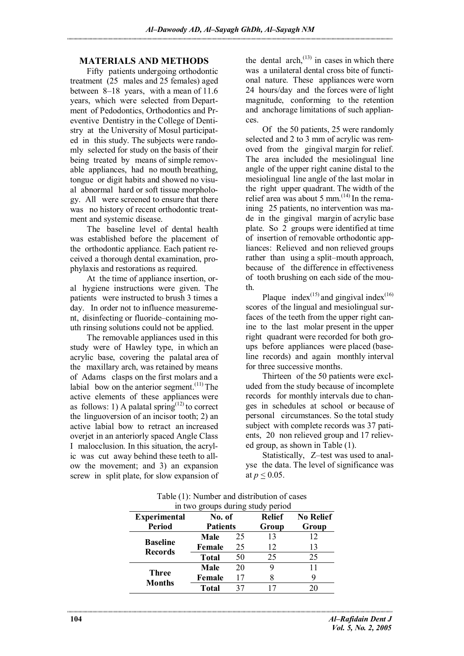#### **MATERIALS AND METHODS**

Fifty patients undergoing orthodontic treatment (25 males and 25 females) aged between 8–18 years, with a mean of 11.6 years, which were selected from Department of Pedodontics, Orthodontics and Preventive Dentistry in the College of Dentistry at the University of Mosul participated in this study. The subjects were randomly selected for study on the basis of their being treated by means of simple removable appliances, had no mouth breathing, tongue or digit habits and showed no visual abnormal hard or soft tissue morphology. All were screened to ensure that there was no history of recent orthodontic treatment and systemic disease.

The baseline level of dental health was established before the placement of the orthodontic appliance. Each patient received a thorough dental examination, prophylaxis and restorations as required.

At the time of appliance insertion, oral hygiene instructions were given. The patients were instructed to brush 3 times a day. In order not to influence measurement, disinfecting or fluoride–containing mouth rinsing solutions could not be applied.

The removable appliances used in this study were of Hawley type, in which an acrylic base, covering the palatal area of the maxillary arch, was retained by means of Adams clasps on the first molars and a labial bow on the anterior segment.<sup> $(11)$ </sup> The active elements of these appliances were as follows: 1) A palatal spring<sup> $(12)$ </sup> to correct the linguoversion of an incisor tooth; 2) an active labial bow to retract an increased overjet in an anteriorly spaced Angle Class I malocclusion. In this situation, the acrylic was cut away behind these teeth to allow the movement; and 3) an expansion screw in split plate, for slow expansion of the dental arch, $^{(13)}$  in cases in which there was a unilateral dental cross bite of functional nature. These appliances were worn 24 hours/day and the forces were of light magnitude, conforming to the retention and anchorage limitations of such appliances.

Of the 50 patients, 25 were randomly selected and 2 to 3 mm of acrylic was removed from the gingival margin for relief. The area included the mesiolingual line angle of the upper right canine distal to the mesiolingual line angle of the last molar in the right upper quadrant. The width of the relief area was about 5 mm.<sup> $(14)$ </sup> In the remaining 25 patients, no intervention was made in the gingival margin of acrylic base plate. So 2 groups were identified at time of insertion of removable orthodontic appliances: Relieved and non relieved groups rather than using a split–mouth approach, because of the difference in effectiveness of tooth brushing on each side of the mouth.

Plaque index<sup>(15)</sup> and gingival index<sup>(16)</sup> scores of the lingual and mesiolingual surfaces of the teeth from the upper right canine to the last molar present in the upper right quadrant were recorded for both groups before appliances were placed (baseline records) and again monthly interval for three successive months.

Thirteen of the 50 patients were excluded from the study because of incomplete records for monthly intervals due to changes in schedules at school or because of personal circumstances. So the total study subject with complete records was 37 patients, 20 non relieved group and 17 relieved group, as shown in Table (1).

Statistically, Z–test was used to analyse the data. The level of significance was at  $p \le 0.05$ .

|                                   |                           |    | in two groups during study period |                           |
|-----------------------------------|---------------------------|----|-----------------------------------|---------------------------|
| <b>Experimental</b>               | No. of<br><b>Patients</b> |    | <b>Relief</b>                     | <b>No Relief</b><br>Group |
| <b>Period</b>                     |                           |    | Group                             |                           |
| <b>Baseline</b><br><b>Records</b> | Male                      | 25 | 13                                | 12                        |
|                                   | Female                    | 25 | 12                                | 13                        |
|                                   | <b>Total</b>              | 50 | 25                                | 25                        |
| <b>Three</b><br><b>Months</b>     | Male                      | 20 | 9                                 | 11                        |
|                                   | Female                    | 17 |                                   |                           |
|                                   | <b>Total</b>              | 37 | 17                                | 20                        |

Table (1): Number and distribution of cases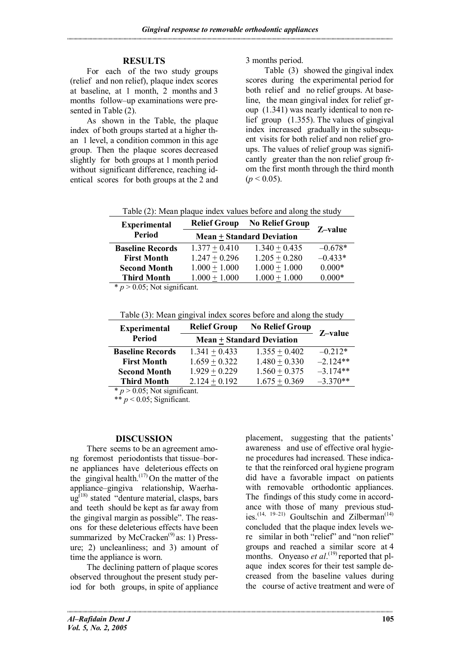### **RESULTS**

For each of the two study groups (relief and non relief), plaque index scores at baseline, at 1 month, 2 months and 3 months follow–up examinations were presented in Table (2).

As shown in the Table, the plaque index of both groups started at a higher than 1 level, a condition common in this age group. Then the plaque scores decreased slightly for both groups at 1 month period without significant difference, reaching identical scores for both groups at the 2 and 3 months period.

Table (3) showed the gingival index scores during the experimental period for both relief and no relief groups. At baseline, the mean gingival index for relief group (1.341) was nearly identical to non relief group (1.355). The values of gingival index increased gradually in the subsequent visits for both relief and non relief groups. The values of relief group was significantly greater than the non relief group from the first month through the third month  $(p < 0.05)$ .

| <b>Period</b><br>Mean $\pm$ Standard Deviation                             |         |
|----------------------------------------------------------------------------|---------|
|                                                                            | Z-value |
| $-0.678*$<br>$1.340 + 0.435$<br>$1.377 + 0.410$<br><b>Baseline Records</b> |         |
| $-0.433*$<br>$1.247 + 0.296$<br>$1.205 + 0.280$<br><b>First Month</b>      |         |
| $0.000*$<br>$1.000 + 1.000$<br>$1.000 + 1.000$<br><b>Second Month</b>      |         |
| $0.000*$<br>$1.000 + 1.000$<br>$1.000 + 1.000$<br><b>Third Month</b>       |         |

 $*$  *p* > 0.05; Not significant.

Table (3): Mean gingival index scores before and along the study

| <b>Experimental</b>     | <b>Relief Group</b>                             | <b>No Relief Group</b> | Z-value    |
|-------------------------|-------------------------------------------------|------------------------|------------|
| Period                  | <b>Mean <math>\pm</math> Standard Deviation</b> |                        |            |
| <b>Baseline Records</b> | $1.341 + 0.433$                                 | $1.355 + 0.402$        | $-0.212*$  |
| <b>First Month</b>      | $1.659 + 0.322$                                 | $1.480 + 0.330$        | $-2.124**$ |
| <b>Second Month</b>     | $1.929 + 0.229$                                 | $1.560 + 0.375$        | $-3.174**$ |
| <b>Third Month</b>      | $2.124 + 0.192$                                 | $1.675 + 0.369$        | $-3.370**$ |

 $* p > 0.05$ ; Not significant.

\*\*  $p < 0.05$ ; Significant.

#### **DISCUSSION**

There seems to be an agreement among foremost periodontists that tissue–borne appliances have deleterious effects on the gingival health.<sup>(17)</sup> On the matter of the appliance–gingiva relationship, Waerha- $\mu$ g<sup>(18)</sup> stated "denture material, clasps, bars and teeth should be kept as far away from the gingival margin as possible". The reasons for these deleterious effects have been summarized by McCracken<sup> $(9)$ </sup> as: 1) Pressure; 2) uncleanliness; and 3) amount of time the appliance is worn.

The declining pattern of plaque scores observed throughout the present study period for both groups, in spite of appliance placement, suggesting that the patients' awareness and use of effective oral hygiene procedures had increased. These indicate that the reinforced oral hygiene program did have a favorable impact on patients with removable orthodontic appliances. The findings of this study come in accordance with those of many previous studies.<sup>(14, 19-21)</sup> Goultschin and Zilberman<sup>(14)</sup> concluded that the plaque index levels were similar in both "relief" and "non relief" groups and reached a similar score at 4 months. Onyeaso *et al*.<sup>(19)</sup> reported that plaque index scores for their test sample decreased from the baseline values during the course of active treatment and were of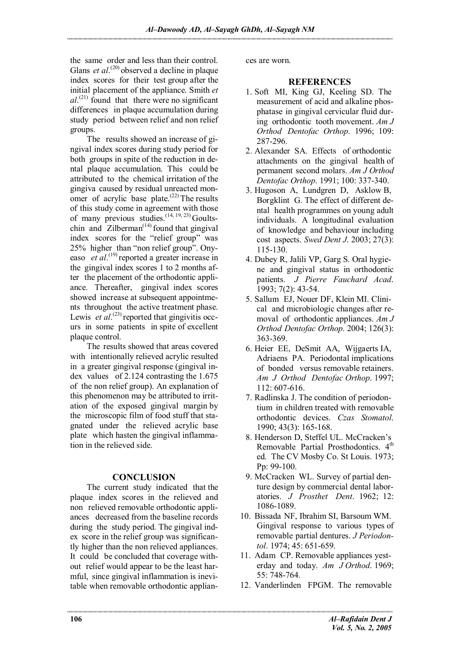the same order and less than their control. Glans *et al*.<sup>(20)</sup> observed a decline in plaque index scores for their test group after the initial placement of the appliance. Smith *et al*. (21) found that there were no significant differences in plaque accumulation during study period between relief and non relief groups.

The results showed an increase of gingival index scores during study period for both groups in spite of the reduction in dental plaque accumulation. This could be attributed to the chemical irritation of the gingiva caused by residual unreacted monomer of acrylic base plate.<sup> $(22)$ </sup> The results of this study come in agreement with those of many previous studies.<sup> $(14, 19, 23)$ </sup> Goultschin and Zilberman<sup> $(14)$ </sup> found that gingival index scores for the "relief group" was 25% higher than "non relief group". Onyeaso *et al*. (19) reported a greater increase in the gingival index scores 1 to 2 months after the placement of the orthodontic appliance. Thereafter, gingival index scores showed increase at subsequent appointments throughout the active treatment phase. Lewis *et al.*<sup>(23)</sup> reported that gingivitis occurs in some patients in spite of excellent plaque control.

The results showed that areas covered with intentionally relieved acrylic resulted in a greater gingival response (gingival index values of 2.124 contrasting the 1.675 of the non relief group). An explanation of this phenomenon may be attributed to irritation of the exposed gingival margin by the microscopic film of food stuff that stagnated under the relieved acrylic base plate which hasten the gingival inflammation in the relieved side.

# **CONCLUSION**

The current study indicated that the plaque index scores in the relieved and non relieved removable orthodontic appliances decreased from the baseline records during the study period. The gingival index score in the relief group was significantly higher than the non relieved appliances. It could be concluded that coverage without relief would appear to be the least harmful, since gingival inflammation is inevitable when removable orthodontic appliances are worn.

## **REFERENCES**

- 1. Soft MI, King GJ, Keeling SD. The measurement of acid and alkaline phosphatase in gingival cervicular fluid during orthodontic tooth movement. *Am J Orthod Dentofac Orthop*. 1996; 109: 287-296.
- 2. Alexander SA. Effects of orthodontic attachments on the gingival health of permanent second molars. *Am J Orthod Dentofac Orthop*. 1991; 100: 337-340.
- 3. Hugoson A, Lundgren D, Asklow B, Borgklint G. The effect of different dental health programmes on young adult individuals. A longitudinal evaluation of knowledge and behaviour including cost aspects. *Swed Dent J*. 2003; 27(3): 115-130.
- 4. Dubey R, Jalili VP, Garg S. Oral hygiene and gingival status in orthodontic patients. *J Pierre Fauchard Acad*. 1993; 7(2): 43-54.
- 5. Sallum EJ, Nouer DF, Klein MI. Clinical and microbiologic changes after removal of orthodontic appliances. *Am J Orthod Dentofac Orthop*. 2004; 126(3): 363-369.
- 6. Heier EE, DeSmit AA, Wijgaerts IA, Adriaens PA. Periodontal implications of bonded versus removable retainers. *Am J Orthod Dentofac Orthop*. 1997; 112: 607-616.
- 7. Radlinska J. The condition of periodontium in children treated with removable orthodontic devices. *Czas Stomatol*. 1990; 43(3): 165-168.
- 8. Henderson D, Steffel UL. McCracken's Removable Partial Prosthodontics. 4<sup>th</sup> ed. The CV Mosby Co. St Louis. 1973; Pp: 99-100.
- 9. McCracken WL. Survey of partial denture design by commercial dental laboratories. *J Prosthet Dent*. 1962; 12: 1086-1089.
- 10. Bissada NF, Ibrahim SI, Barsoum WM. Gingival response to various types of removable partial dentures. *J Periodontol*. 1974; 45: 651-659.
- 11. Adam CP. Removable appliances yesterday and today. *Am J Orthod*. 1969; 55: 748-764.
- 12. Vanderlinden FPGM. The removable